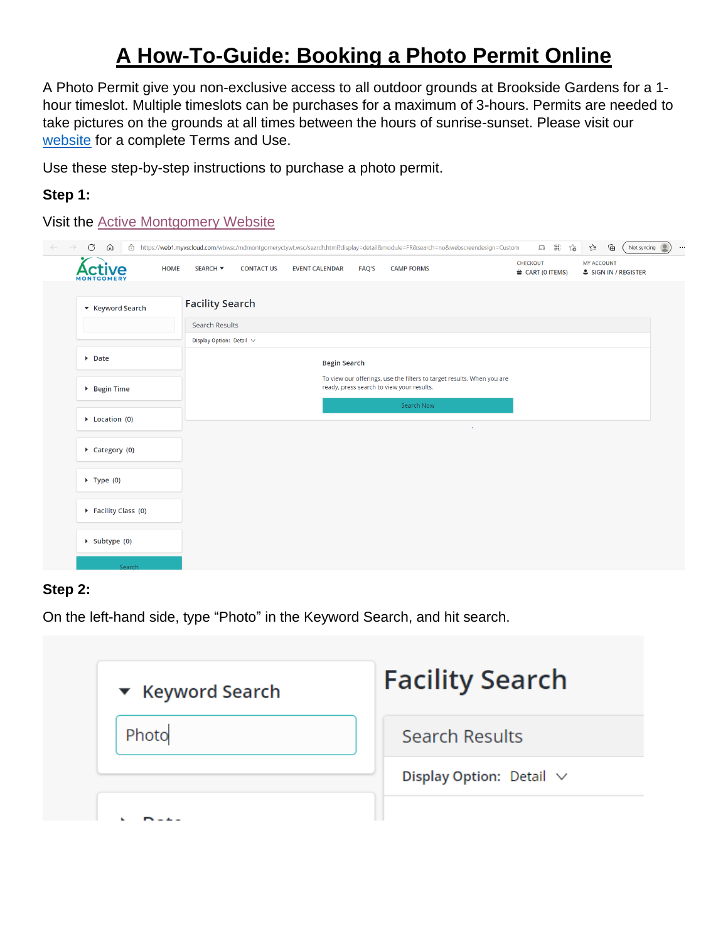# **A How-To-Guide: Booking a Photo Permit Online**

A Photo Permit give you non-exclusive access to all outdoor grounds at Brookside Gardens for a 1 hour timeslot. Multiple timeslots can be purchases for a maximum of 3-hours. Permits are needed to take pictures on the grounds at all times between the hours of sunrise-sunset. Please visit our [website](https://montgomeryparks.org/parks-and-trails/brookside-gardens/venue-rentals-photo-permits/photo-policy-permits/) for a complete Terms and Use.

Use these step-by-step instructions to purchase a photo permit.

### **Step 1:**

Visit the [Active Montgomery Website](https://web1.myvscloud.com/wbwsc/mdmontgomeryctywt.wsc/search.html?display=detail&module=FR&search=no&webscreendesign=Custom)

| <b>HOME</b><br>e              | SEARCH <b>v</b>               | <b>CONTACT US</b> | <b>EVENT CALENDAR</b> | <b>FAQ'S</b> | <b>CAMP FORMS</b>                                                                                                   | <b>CHECKOUT</b><br>$\triangleq$ CART (0 ITEMS) | <b>MY ACCOUNT</b><br>& SIGN IN / REGISTER |
|-------------------------------|-------------------------------|-------------------|-----------------------|--------------|---------------------------------------------------------------------------------------------------------------------|------------------------------------------------|-------------------------------------------|
| ▼ Keyword Search              | <b>Facility Search</b>        |                   |                       |              |                                                                                                                     |                                                |                                           |
|                               | <b>Search Results</b>         |                   |                       |              |                                                                                                                     |                                                |                                           |
|                               | Display Option: Detail $\vee$ |                   |                       |              |                                                                                                                     |                                                |                                           |
| $\triangleright$ Date         |                               |                   | <b>Begin Search</b>   |              |                                                                                                                     |                                                |                                           |
| $\triangleright$ Begin Time   |                               |                   |                       |              | To view our offerings, use the filters to target results. When you are<br>ready, press search to view your results. |                                                |                                           |
| $\triangleright$ Location (0) |                               |                   |                       |              | Search Now                                                                                                          |                                                |                                           |
| $\triangleright$ Category (0) |                               |                   |                       |              |                                                                                                                     |                                                |                                           |
| $\triangleright$ Type (0)     |                               |                   |                       |              |                                                                                                                     |                                                |                                           |
| Facility Class (0)            |                               |                   |                       |              |                                                                                                                     |                                                |                                           |
| $\triangleright$ Subtype (0)  |                               |                   |                       |              |                                                                                                                     |                                                |                                           |

#### **Step 2:**

On the left-hand side, type "Photo" in the Keyword Search, and hit search.

| ▼ Keyword Search | <b>Facility Search</b>        |
|------------------|-------------------------------|
| Photo            | Search Results                |
|                  | Display Option: Detail $\vee$ |
|                  |                               |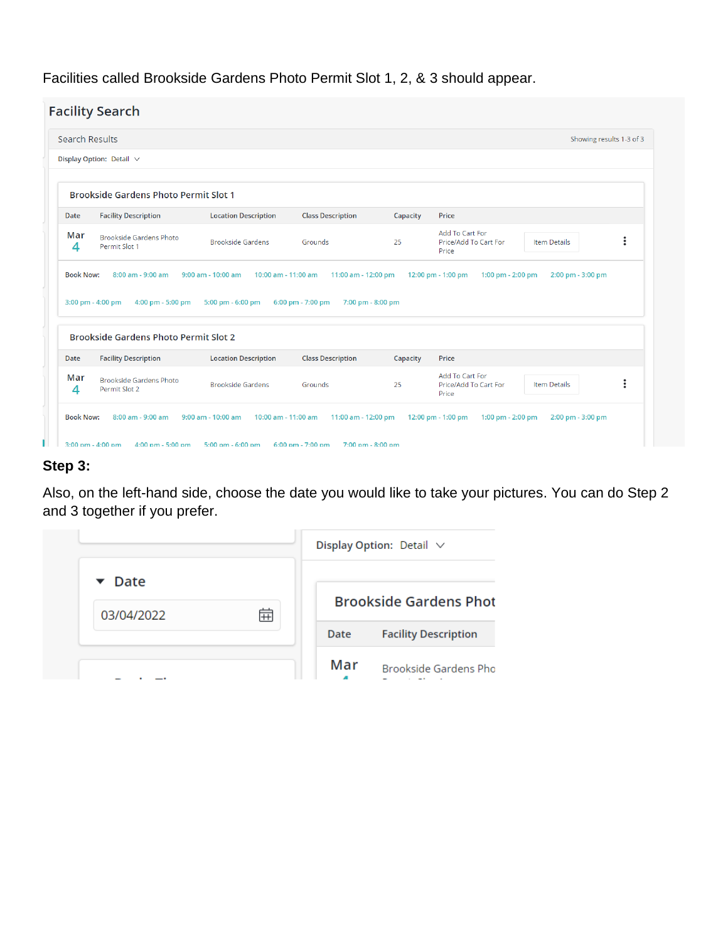Facilities called Brookside Gardens Photo Permit Slot 1, 2, & 3 should appear.

|                                      | Search Results                                                              |                                               |                                        |          | Showing results 1-3 of 3                                                                    |
|--------------------------------------|-----------------------------------------------------------------------------|-----------------------------------------------|----------------------------------------|----------|---------------------------------------------------------------------------------------------|
|                                      | Display Option: Detail $\vee$                                               |                                               |                                        |          |                                                                                             |
|                                      | <b>Brookside Gardens Photo Permit Slot 1</b>                                |                                               |                                        |          |                                                                                             |
| Date                                 | <b>Facility Description</b>                                                 | <b>Location Description</b>                   | <b>Class Description</b>               | Capacity | Price                                                                                       |
| Mar<br>4                             | <b>Brookside Gardens Photo</b>                                              | <b>Brookside Gardens</b>                      | Grounds                                | 25       | Add To Cart For<br>$\colon$<br>Price/Add To Cart For<br><b>Item Details</b>                 |
|                                      | Permit Slot 1<br>8:00 am - 9:00 am                                          | $9:00$ am - $10:00$ am<br>10:00 am - 11:00 am | 11:00 am - 12:00 pm                    |          | Price<br>12:00 pm - 1:00 pm<br>1:00 pm - 2:00 pm<br>2:00 pm - 3:00 pm                       |
|                                      | 3:00 pm - 4:00 pm<br>4:00 pm - 5:00 pm                                      | 5:00 pm - 6:00 pm                             | 6:00 pm - 7:00 pm<br>7:00 pm - 8:00 pm |          |                                                                                             |
|                                      | <b>Brookside Gardens Photo Permit Slot 2</b><br><b>Facility Description</b> | <b>Location Description</b>                   | <b>Class Description</b>               | Capacity | Price                                                                                       |
| <b>Book Now:</b><br>Date<br>Mar<br>4 | <b>Brookside Gardens Photo</b><br>Permit Slot 2                             | <b>Brookside Gardens</b>                      | Grounds                                | 25       | <b>Add To Cart For</b><br>$\vdots$<br><b>Item Details</b><br>Price/Add To Cart For<br>Price |

#### **Step 3:**

Also, on the left-hand side, choose the date you would like to take your pictures. You can do Step 2 and 3 together if you prefer.

|                                          |   |      | Display Option: Detail $\vee$ |
|------------------------------------------|---|------|-------------------------------|
| $\blacktriangleright$ Date<br>03/04/2022 | 侖 |      | <b>Brookside Gardens Phot</b> |
|                                          |   | Date | <b>Facility Description</b>   |
|                                          |   | Mar  | Brookside Gardens Pho         |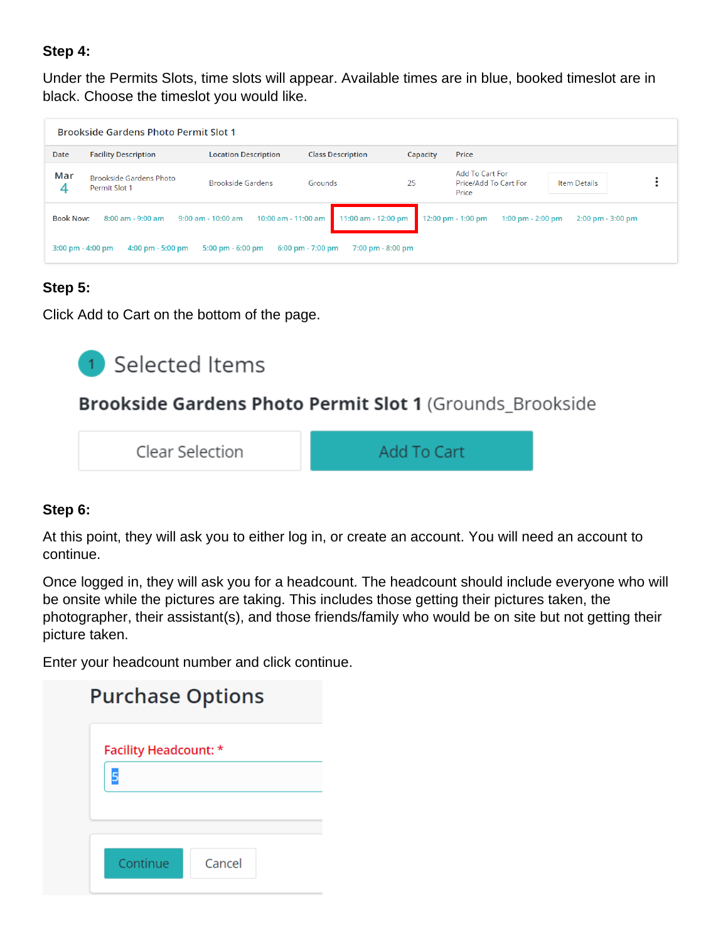### **Step 4:**

Under the Permits Slots, time slots will appear. Available times are in blue, booked timeslot are in black. Choose the timeslot you would like.

|                  | <b>Brookside Gardens Photo Permit Slot 1</b>                               |                                               |                                                          |          |                                                   |                       |   |
|------------------|----------------------------------------------------------------------------|-----------------------------------------------|----------------------------------------------------------|----------|---------------------------------------------------|-----------------------|---|
| Date             | <b>Facility Description</b>                                                | <b>Location Description</b>                   | <b>Class Description</b>                                 | Capacity | Price                                             |                       |   |
| Mar<br>4         | Brookside Gardens Photo<br>Permit Slot 1                                   | <b>Brookside Gardens</b>                      | Grounds                                                  | 25       | Add To Cart For<br>Price/Add To Cart For<br>Price | <b>Item Details</b>   | ٠ |
| <b>Book Now:</b> | 8:00 am - 9:00 am                                                          | $9:00$ am - $10:00$ am<br>10:00 am - 11:00 am | 11:00 am - 12:00 pm                                      |          | 12:00 pm - 1:00 pm<br>1:00 pm $- 2:00$ pm         | $2:00$ pm - $3:00$ pm |   |
|                  | $3:00 \text{ pm} - 4:00 \text{ pm}$<br>$4:00 \text{ pm} - 5:00 \text{ pm}$ | $5:00 \text{ pm} - 6:00 \text{ pm}$           | $6:00 \text{ pm} - 7:00 \text{ pm}$<br>7:00 pm - 8:00 pm |          |                                                   |                       |   |

## **Step 5:**

Click Add to Cart on the bottom of the page.

# <sup>1</sup> Selected Items

# Brookside Gardens Photo Permit Slot 1 (Grounds Brookside

Clear Selection

Add To Cart

## **Step 6:**

At this point, they will ask you to either log in, or create an account. You will need an account to continue.

Once logged in, they will ask you for a headcount. The headcount should include everyone who will be onsite while the pictures are taking. This includes those getting their pictures taken, the photographer, their assistant(s), and those friends/family who would be on site but not getting their picture taken.

Enter your headcount number and click continue.

| <b>Purchase Options</b> |        |  |
|-------------------------|--------|--|
| Facility Headcount: *   |        |  |
|                         |        |  |
|                         |        |  |
|                         |        |  |
| Continue                | Cancel |  |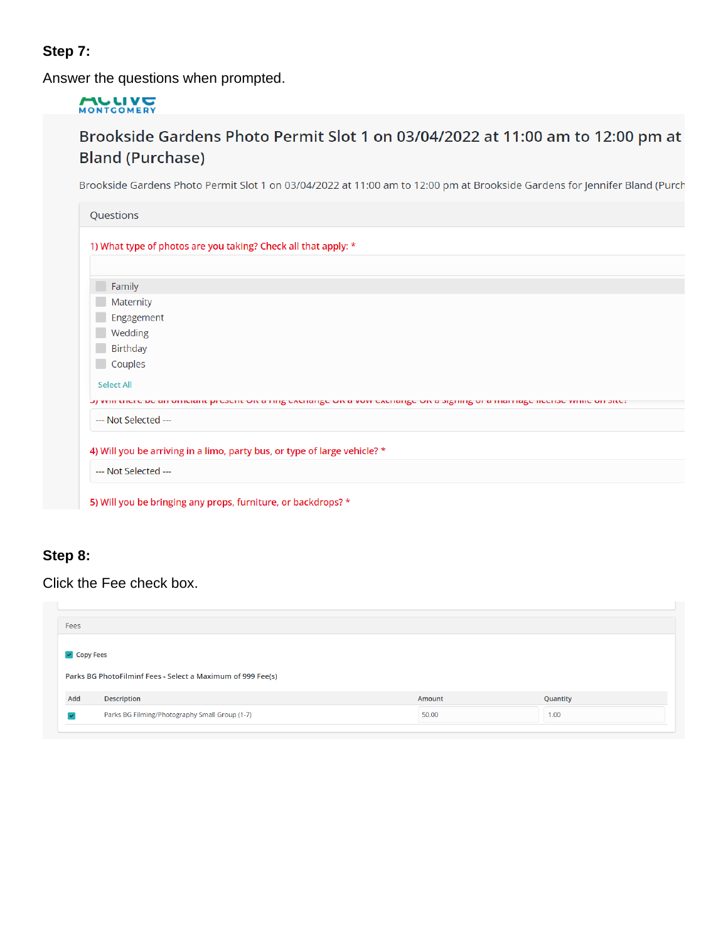## **Step 7:**

Answer the questions when prompted.

# MONTGOMERY

# Brookside Gardens Photo Permit Slot 1 on 03/04/2022 at 11:00 am to 12:00 pm at **Bland (Purchase)**

Brookside Gardens Photo Permit Slot 1 on 03/04/2022 at 11:00 am to 12:00 pm at Brookside Gardens for Jennifer Bland (Purch

| Questions                                                                                                    |
|--------------------------------------------------------------------------------------------------------------|
| 1) What type of photos are you taking? Check all that apply: *                                               |
|                                                                                                              |
| Family                                                                                                       |
| Maternity                                                                                                    |
| Engagement                                                                                                   |
| Wedding                                                                                                      |
| Birthday                                                                                                     |
| Couples                                                                                                      |
| <b>Select All</b>                                                                                            |
| ση νηπταιού σε αποιπαίαπεριοσοπευτεά της ολοιατίζουν απονικολιατίζουν ασίζητης οι απιαιτιάζοπου νητίου ποιοι |
| --- Not Selected ---                                                                                         |
| 4) Will you be arriving in a limo, party bus, or type of large vehicle? *                                    |
| --- Not Selected ---                                                                                         |
| 5) Will you be bringing any props, furniture, or backdrops? *                                                |

## **Step 8:**

Click the Fee check box.

| Fees                       |                                                             |        |          |  |
|----------------------------|-------------------------------------------------------------|--------|----------|--|
| $\triangleright$ Copy Fees |                                                             |        |          |  |
|                            |                                                             |        |          |  |
|                            | Parks BG PhotoFilminf Fees - Select a Maximum of 999 Fee(s) |        |          |  |
| Add                        | Description                                                 | Amount | Quantity |  |